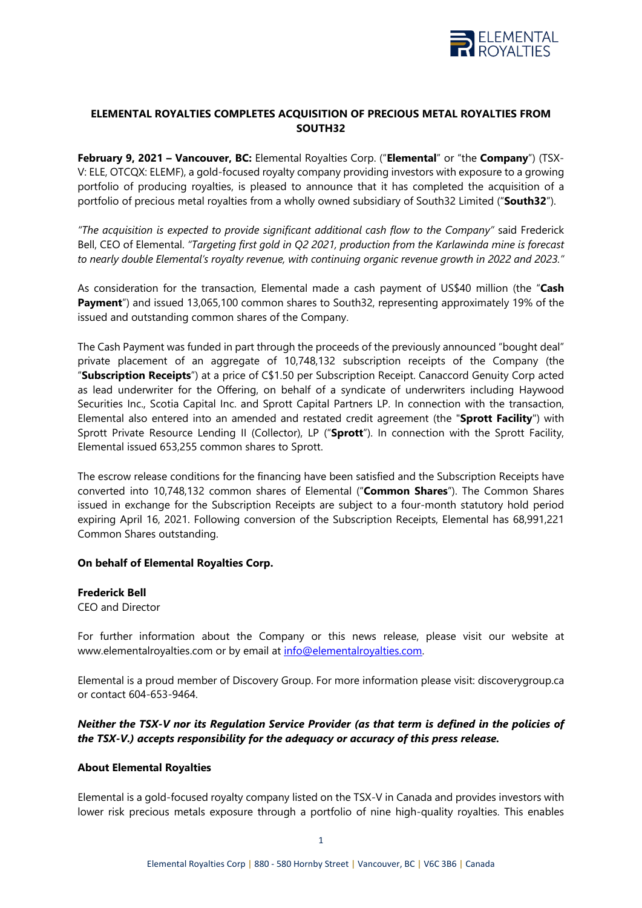

## **ELEMENTAL ROYALTIES COMPLETES ACQUISITION OF PRECIOUS METAL ROYALTIES FROM SOUTH32**

**February 9, 2021 – Vancouver, BC:** Elemental Royalties Corp. ("**Elemental**" or "the **Company**") (TSX-V: ELE, OTCQX: ELEMF), a gold-focused royalty company providing investors with exposure to a growing portfolio of producing royalties, is pleased to announce that it has completed the acquisition of a portfolio of precious metal royalties from a wholly owned subsidiary of South32 Limited ("**South32**").

*"The acquisition is expected to provide significant additional cash flow to the Company"* said Frederick Bell, CEO of Elemental. *"Targeting first gold in Q2 2021, production from the Karlawinda mine is forecast to nearly double Elemental's royalty revenue, with continuing organic revenue growth in 2022 and 2023."*

As consideration for the transaction, Elemental made a cash payment of US\$40 million (the "**Cash Payment**") and issued 13,065,100 common shares to South32, representing approximately 19% of the issued and outstanding common shares of the Company.

The Cash Payment was funded in part through the proceeds of the previously announced "bought deal" private placement of an aggregate of 10,748,132 subscription receipts of the Company (the "**Subscription Receipts**") at a price of C\$1.50 per Subscription Receipt. Canaccord Genuity Corp acted as lead underwriter for the Offering, on behalf of a syndicate of underwriters including Haywood Securities Inc., Scotia Capital Inc. and Sprott Capital Partners LP. In connection with the transaction, Elemental also entered into an amended and restated credit agreement (the "**Sprott Facility**") with Sprott Private Resource Lending II (Collector), LP ("**Sprott**"). In connection with the Sprott Facility, Elemental issued 653,255 common shares to Sprott.

The escrow release conditions for the financing have been satisfied and the Subscription Receipts have converted into 10,748,132 common shares of Elemental ("**Common Shares**"). The Common Shares issued in exchange for the Subscription Receipts are subject to a four-month statutory hold period expiring April 16, 2021. Following conversion of the Subscription Receipts, Elemental has 68,991,221 Common Shares outstanding.

## **On behalf of Elemental Royalties Corp.**

**Frederick Bell** CEO and Director

For further information about the Company or this news release, please visit our website at www.elementalroyalties.com or by email at [info@elementalroyalties.com.](mailto:info@elementalroyalties.com)

Elemental is a proud member of Discovery Group. For more information please visit: discoverygroup.ca or contact 604-653-9464.

## *Neither the TSX-V nor its Regulation Service Provider (as that term is defined in the policies of the TSX-V.) accepts responsibility for the adequacy or accuracy of this press release.*

## **About Elemental Royalties**

Elemental is a gold-focused royalty company listed on the TSX-V in Canada and provides investors with lower risk precious metals exposure through a portfolio of nine high-quality royalties. This enables